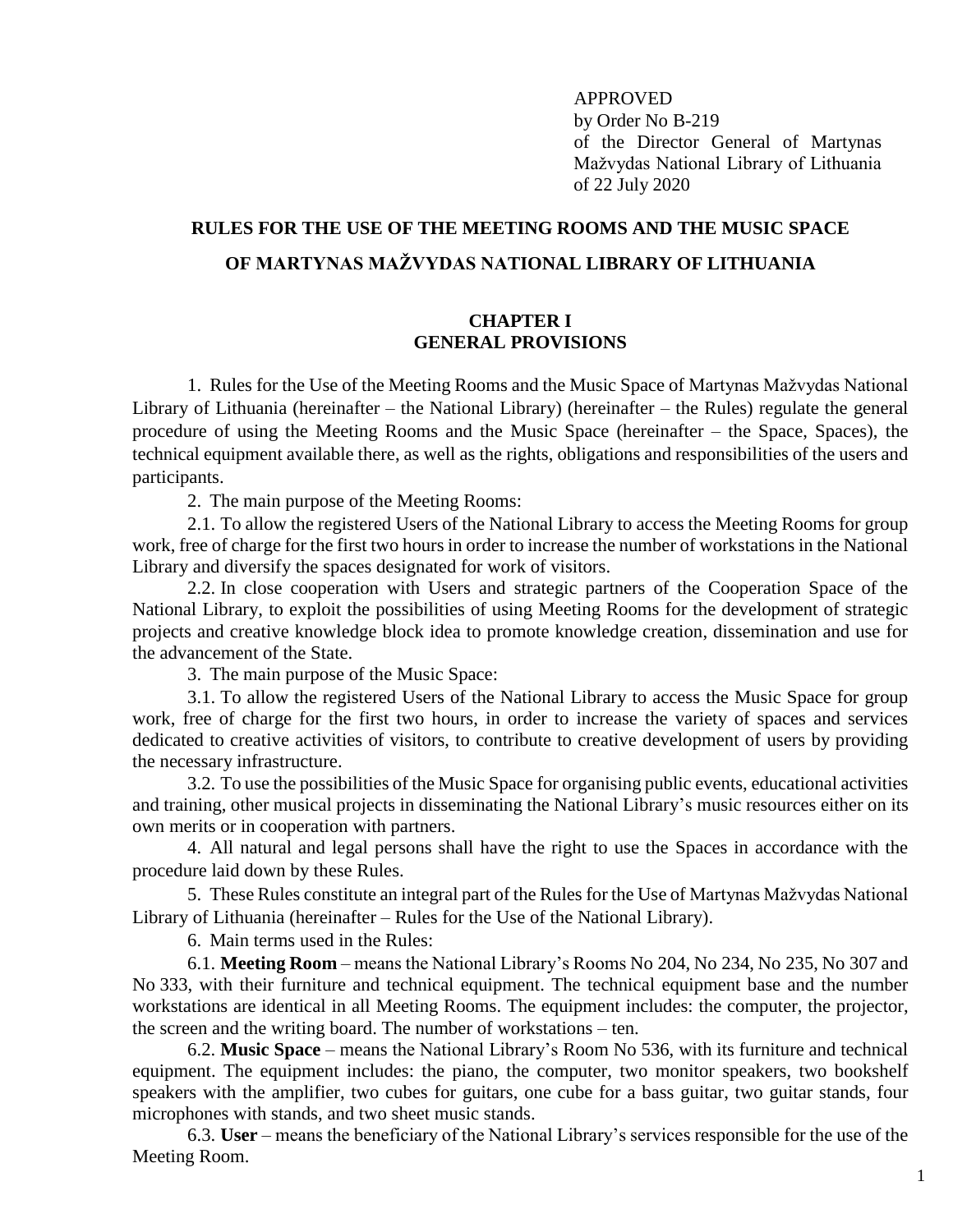APPROVED by Order No B-219 of the Director General of Martynas Mažvydas National Library of Lithuania of 22 July 2020

# **RULES FOR THE USE OF THE MEETING ROOMS AND THE MUSIC SPACE OF MARTYNAS MAŽVYDAS NATIONAL LIBRARY OF LITHUANIA**

#### **CHAPTER I GENERAL PROVISIONS**

1. Rules for the Use of the Meeting Rooms and the Music Space of Martynas Mažvydas National Library of Lithuania (hereinafter – the National Library) (hereinafter – the Rules) regulate the general procedure of using the Meeting Rooms and the Music Space (hereinafter – the Space, Spaces), the technical equipment available there, as well as the rights, obligations and responsibilities of the users and participants.

2. The main purpose of the Meeting Rooms:

2.1. To allow the registered Users of the National Library to access the Meeting Rooms for group work, free of charge for the first two hours in order to increase the number of workstations in the National Library and diversify the spaces designated for work of visitors.

2.2. In close cooperation with Users and strategic partners of the Cooperation Space of the National Library, to exploit the possibilities of using Meeting Rooms for the development of strategic projects and creative knowledge block idea to promote knowledge creation, dissemination and use for the advancement of the State.

3. The main purpose of the Music Space:

3.1. To allow the registered Users of the National Library to access the Music Space for group work, free of charge for the first two hours, in order to increase the variety of spaces and services dedicated to creative activities of visitors, to contribute to creative development of users by providing the necessary infrastructure.

3.2. To use the possibilities of the Music Space for organising public events, educational activities and training, other musical projects in disseminating the National Library's music resources either on its own merits or in cooperation with partners.

4. All natural and legal persons shall have the right to use the Spaces in accordance with the procedure laid down by these Rules.

5. These Rules constitute an integral part of the Rules for the Use of Martynas Mažvydas National Library of Lithuania (hereinafter – Rules for the Use of the National Library).

6. Main terms used in the Rules:

6.1. **Meeting Room** – means the National Library's Rooms No 204, No 234, No 235, No 307 and No 333, with their furniture and technical equipment. The technical equipment base and the number workstations are identical in all Meeting Rooms. The equipment includes: the computer, the projector, the screen and the writing board. The number of workstations – ten.

6.2. **Music Space** – means the National Library's Room No 536, with its furniture and technical equipment. The equipment includes: the piano, the computer, two monitor speakers, two bookshelf speakers with the amplifier, two cubes for guitars, one cube for a bass guitar, two guitar stands, four microphones with stands, and two sheet music stands.

6.3. **User** – means the beneficiary of the National Library's services responsible for the use of the Meeting Room.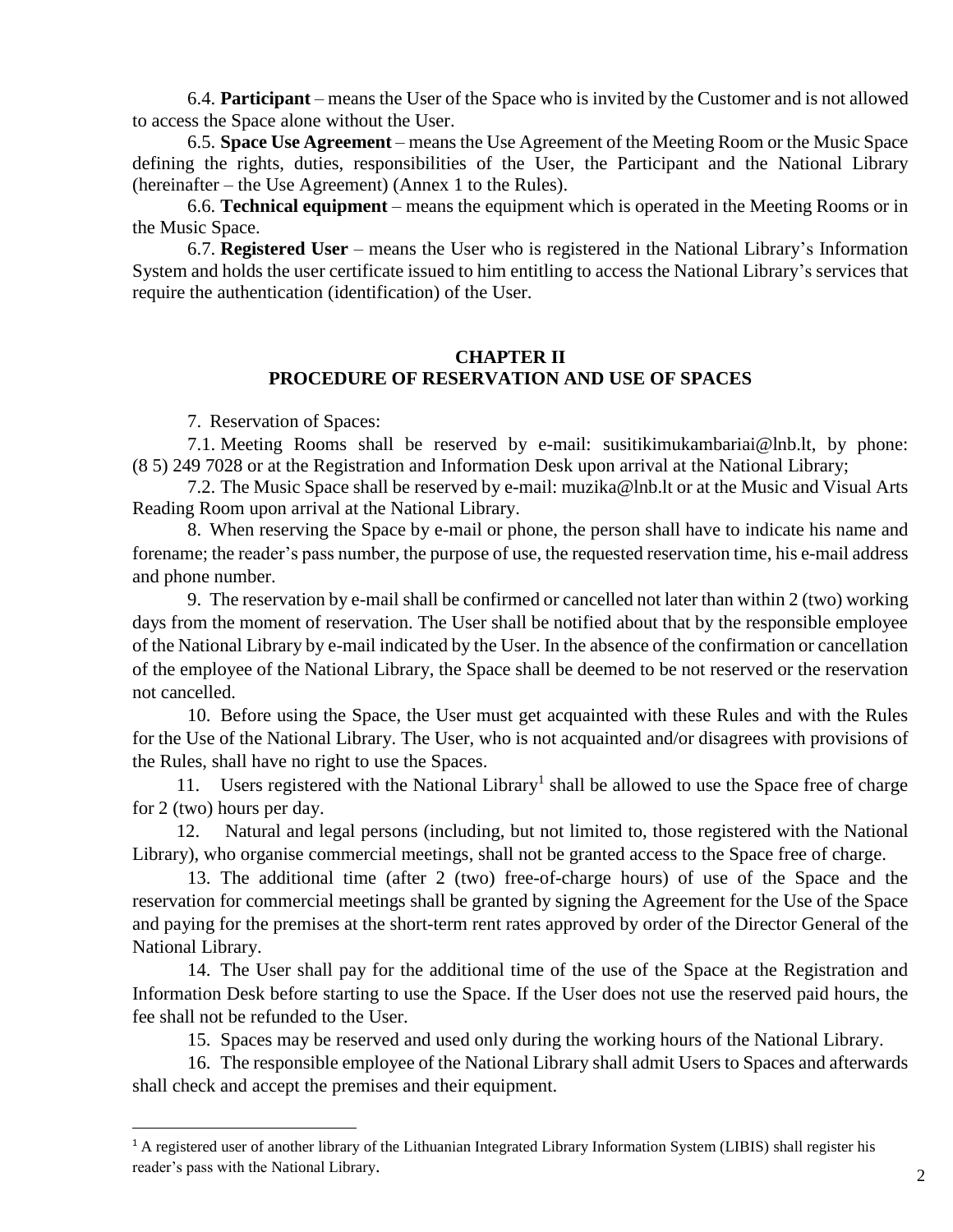6.4. **Participant** – means the User of the Space who is invited by the Customer and is not allowed to access the Space alone without the User.

6.5. **Space Use Agreement** – means the Use Agreement of the Meeting Room or the Music Space defining the rights, duties, responsibilities of the User, the Participant and the National Library (hereinafter – the Use Agreement) (Annex 1 to the Rules).

6.6. **Technical equipment** – means the equipment which is operated in the Meeting Rooms or in the Music Space.

6.7. **Registered User** – means the User who is registered in the National Library's Information System and holds the user certificate issued to him entitling to access the National Library's services that require the authentication (identification) of the User.

#### **CHAPTER II PROCEDURE OF RESERVATION AND USE OF SPACES**

7. Reservation of Spaces:

 $\overline{a}$ 

7.1. Meeting Rooms shall be reserved by e-mail: [susitikimukambariai@lnb.lt,](mailto:susitikimukambariai@lnb.lt) by phone: (8 5) 249 7028 or at the Registration and Information Desk upon arrival at the National Library;

7.2. The Music Space shall be reserved by e-mail: muzika@lnb.lt or at the Music and Visual Arts Reading Room upon arrival at the National Library.

8. When reserving the Space by e-mail or phone, the person shall have to indicate his name and forename; the reader's pass number, the purpose of use, the requested reservation time, his e-mail address and phone number.

9. The reservation by e-mail shall be confirmed or cancelled not later than within 2 (two) working days from the moment of reservation. The User shall be notified about that by the responsible employee of the National Library by e-mail indicated by the User. In the absence of the confirmation or cancellation of the employee of the National Library, the Space shall be deemed to be not reserved or the reservation not cancelled.

10. Before using the Space, the User must get acquainted with these Rules and with the Rules for the Use of the National Library. The User, who is not acquainted and/or disagrees with provisions of the Rules, shall have no right to use the Spaces.

11. Users registered with the National Library<sup>1</sup> shall be allowed to use the Space free of charge for 2 (two) hours per day.

12. Natural and legal persons (including, but not limited to, those registered with the National Library), who organise commercial meetings, shall not be granted access to the Space free of charge.

13. The additional time (after 2 (two) free-of-charge hours) of use of the Space and the reservation for commercial meetings shall be granted by signing the Agreement for the Use of the Space and paying for the premises at the short-term rent rates approved by order of the Director General of the National Library.

14. The User shall pay for the additional time of the use of the Space at the Registration and Information Desk before starting to use the Space. If the User does not use the reserved paid hours, the fee shall not be refunded to the User.

15. Spaces may be reserved and used only during the working hours of the National Library.

16. The responsible employee of the National Library shall admit Users to Spaces and afterwards shall check and accept the premises and their equipment.

<sup>&</sup>lt;sup>1</sup> A registered user of another library of the Lithuanian Integrated Library Information System (LIBIS) shall register his reader's pass with the National Library.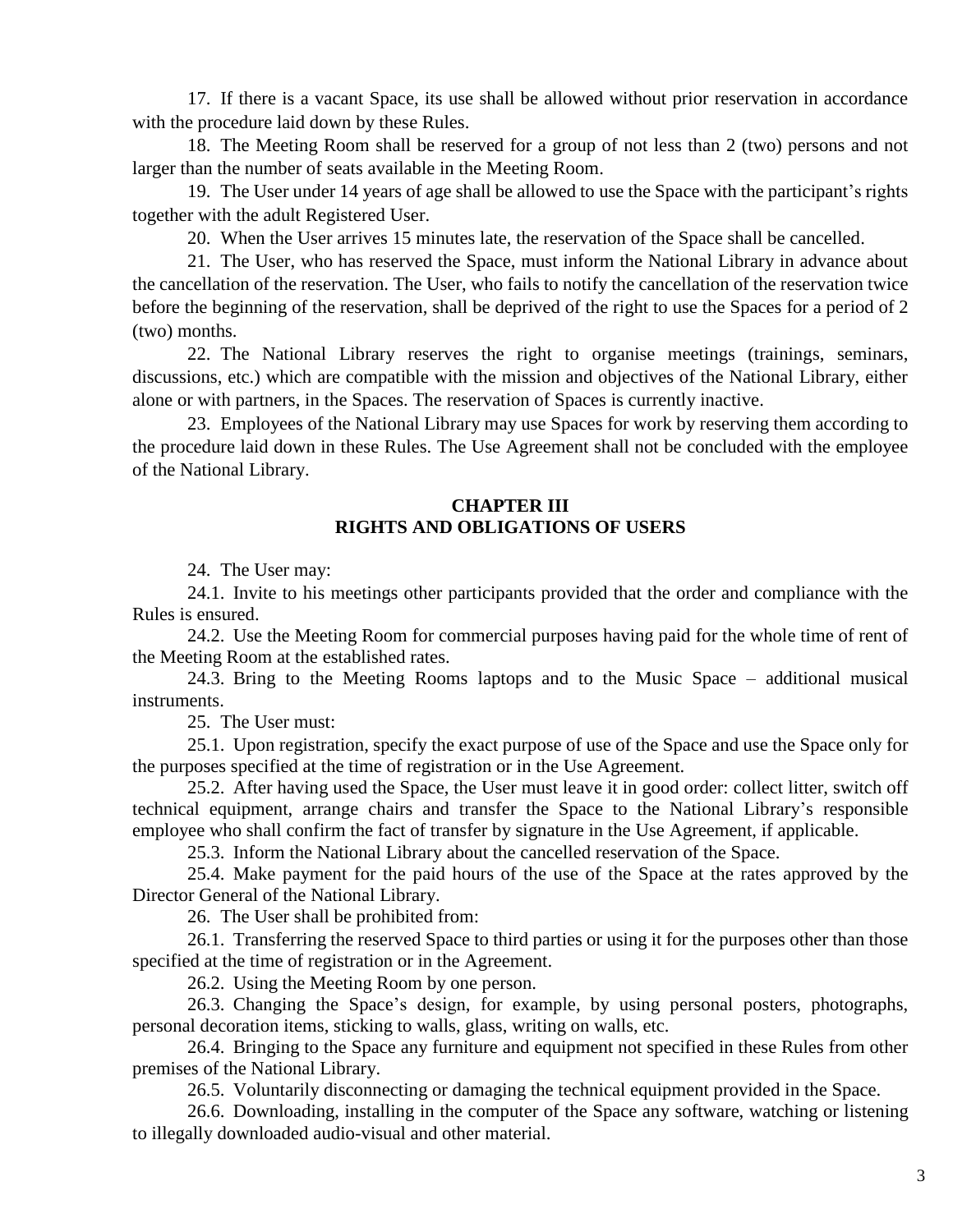17. If there is a vacant Space, its use shall be allowed without prior reservation in accordance with the procedure laid down by these Rules.

18. The Meeting Room shall be reserved for a group of not less than 2 (two) persons and not larger than the number of seats available in the Meeting Room.

19. The User under 14 years of age shall be allowed to use the Space with the participant's rights together with the adult Registered User.

20. When the User arrives 15 minutes late, the reservation of the Space shall be cancelled.

21. The User, who has reserved the Space, must inform the National Library in advance about the cancellation of the reservation. The User, who fails to notify the cancellation of the reservation twice before the beginning of the reservation, shall be deprived of the right to use the Spaces for a period of 2 (two) months.

22. The National Library reserves the right to organise meetings (trainings, seminars, discussions, etc.) which are compatible with the mission and objectives of the National Library, either alone or with partners, in the Spaces. The reservation of Spaces is currently inactive.

23. Employees of the National Library may use Spaces for work by reserving them according to the procedure laid down in these Rules. The Use Agreement shall not be concluded with the employee of the National Library.

#### **CHAPTER III RIGHTS AND OBLIGATIONS OF USERS**

24. The User may:

24.1. Invite to his meetings other participants provided that the order and compliance with the Rules is ensured.

24.2. Use the Meeting Room for commercial purposes having paid for the whole time of rent of the Meeting Room at the established rates.

24.3. Bring to the Meeting Rooms laptops and to the Music Space – additional musical instruments.

25. The User must:

25.1. Upon registration, specify the exact purpose of use of the Space and use the Space only for the purposes specified at the time of registration or in the Use Agreement.

25.2. After having used the Space, the User must leave it in good order: collect litter, switch off technical equipment, arrange chairs and transfer the Space to the National Library's responsible employee who shall confirm the fact of transfer by signature in the Use Agreement, if applicable.

25.3. Inform the National Library about the cancelled reservation of the Space.

25.4. Make payment for the paid hours of the use of the Space at the rates approved by the Director General of the National Library.

26. The User shall be prohibited from:

26.1. Transferring the reserved Space to third parties or using it for the purposes other than those specified at the time of registration or in the Agreement.

26.2. Using the Meeting Room by one person.

26.3. Changing the Space's design, for example, by using personal posters, photographs, personal decoration items, sticking to walls, glass, writing on walls, etc.

26.4. Bringing to the Space any furniture and equipment not specified in these Rules from other premises of the National Library.

26.5. Voluntarily disconnecting or damaging the technical equipment provided in the Space.

26.6. Downloading, installing in the computer of the Space any software, watching or listening to illegally downloaded audio-visual and other material.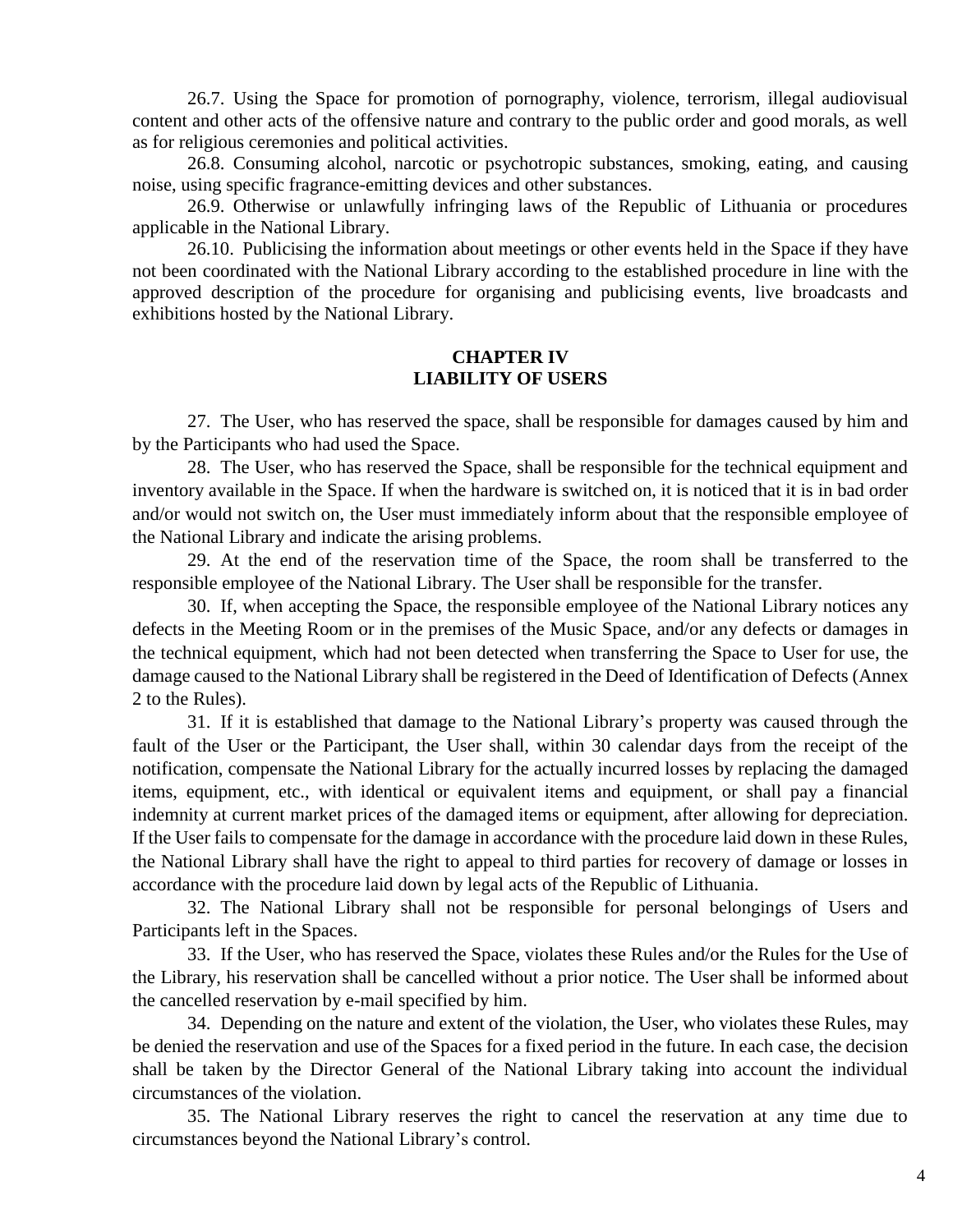26.7. Using the Space for promotion of pornography, violence, terrorism, illegal audiovisual content and other acts of the offensive nature and contrary to the public order and good morals, as well as for religious ceremonies and political activities.

26.8. Consuming alcohol, narcotic or psychotropic substances, smoking, eating, and causing noise, using specific fragrance-emitting devices and other substances.

26.9. Otherwise or unlawfully infringing laws of the Republic of Lithuania or procedures applicable in the National Library.

26.10. Publicising the information about meetings or other events held in the Space if they have not been coordinated with the National Library according to the established procedure in line with the approved description of the procedure for organising and publicising events, live broadcasts and exhibitions hosted by the National Library.

#### **CHAPTER IV LIABILITY OF USERS**

27. The User, who has reserved the space, shall be responsible for damages caused by him and by the Participants who had used the Space.

28. The User, who has reserved the Space, shall be responsible for the technical equipment and inventory available in the Space. If when the hardware is switched on, it is noticed that it is in bad order and/or would not switch on, the User must immediately inform about that the responsible employee of the National Library and indicate the arising problems.

29. At the end of the reservation time of the Space, the room shall be transferred to the responsible employee of the National Library. The User shall be responsible for the transfer.

30. If, when accepting the Space, the responsible employee of the National Library notices any defects in the Meeting Room or in the premises of the Music Space, and/or any defects or damages in the technical equipment, which had not been detected when transferring the Space to User for use, the damage caused to the National Library shall be registered in the Deed of Identification of Defects (Annex 2 to the Rules).

31. If it is established that damage to the National Library's property was caused through the fault of the User or the Participant, the User shall, within 30 calendar days from the receipt of the notification, compensate the National Library for the actually incurred losses by replacing the damaged items, equipment, etc., with identical or equivalent items and equipment, or shall pay a financial indemnity at current market prices of the damaged items or equipment, after allowing for depreciation. If the User fails to compensate for the damage in accordance with the procedure laid down in these Rules, the National Library shall have the right to appeal to third parties for recovery of damage or losses in accordance with the procedure laid down by legal acts of the Republic of Lithuania.

32. The National Library shall not be responsible for personal belongings of Users and Participants left in the Spaces.

33. If the User, who has reserved the Space, violates these Rules and/or the Rules for the Use of the Library, his reservation shall be cancelled without a prior notice. The User shall be informed about the cancelled reservation by e-mail specified by him.

34. Depending on the nature and extent of the violation, the User, who violates these Rules, may be denied the reservation and use of the Spaces for a fixed period in the future. In each case, the decision shall be taken by the Director General of the National Library taking into account the individual circumstances of the violation.

35. The National Library reserves the right to cancel the reservation at any time due to circumstances beyond the National Library's control.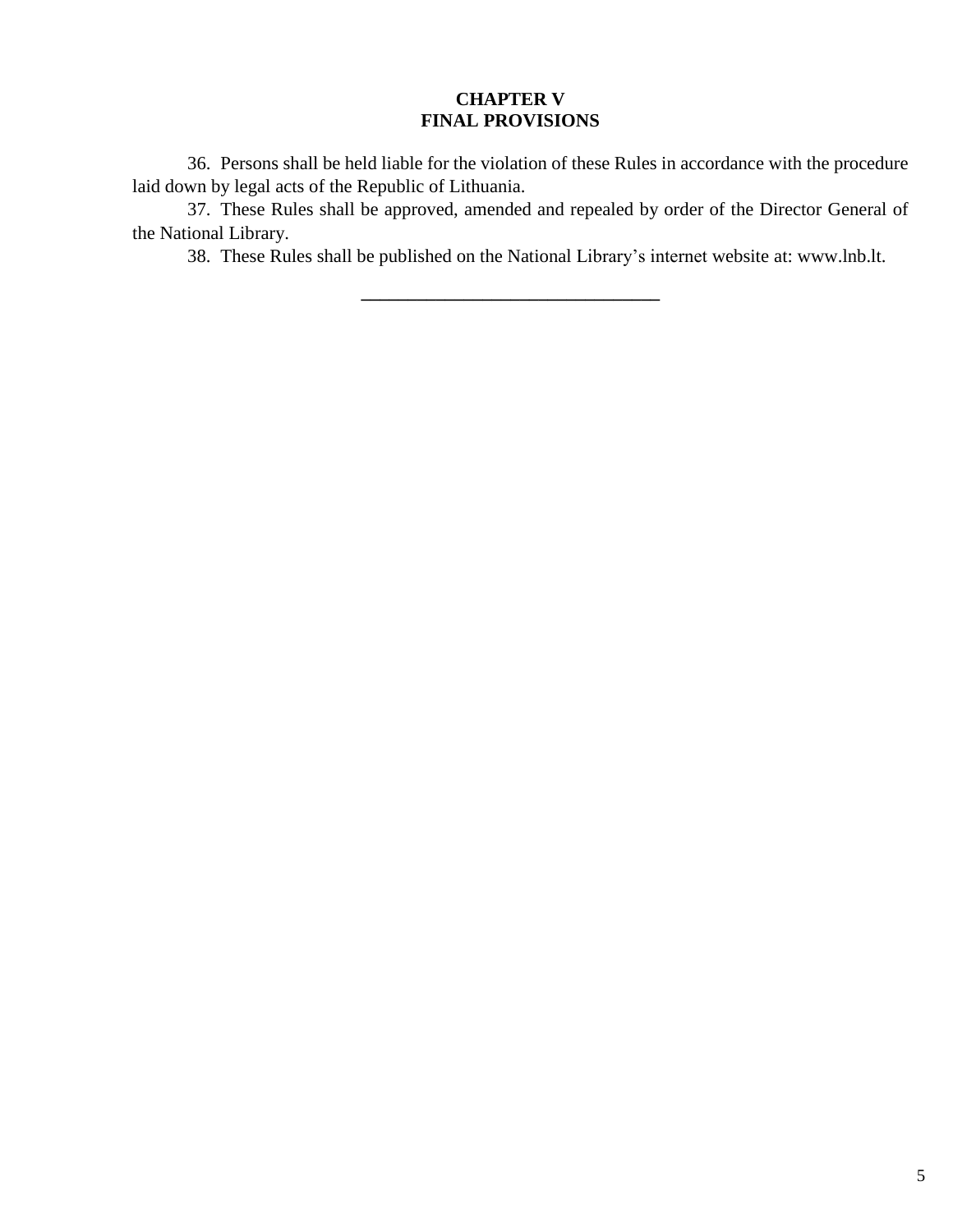### **CHAPTER V FINAL PROVISIONS**

36. Persons shall be held liable for the violation of these Rules in accordance with the procedure laid down by legal acts of the Republic of Lithuania.

37. These Rules shall be approved, amended and repealed by order of the Director General of the National Library.

**\_\_\_\_\_\_\_\_\_\_\_\_\_\_\_\_\_\_\_\_\_\_\_\_\_\_\_\_\_\_\_\_**

38. These Rules shall be published on the National Library's internet website at: www.lnb.lt.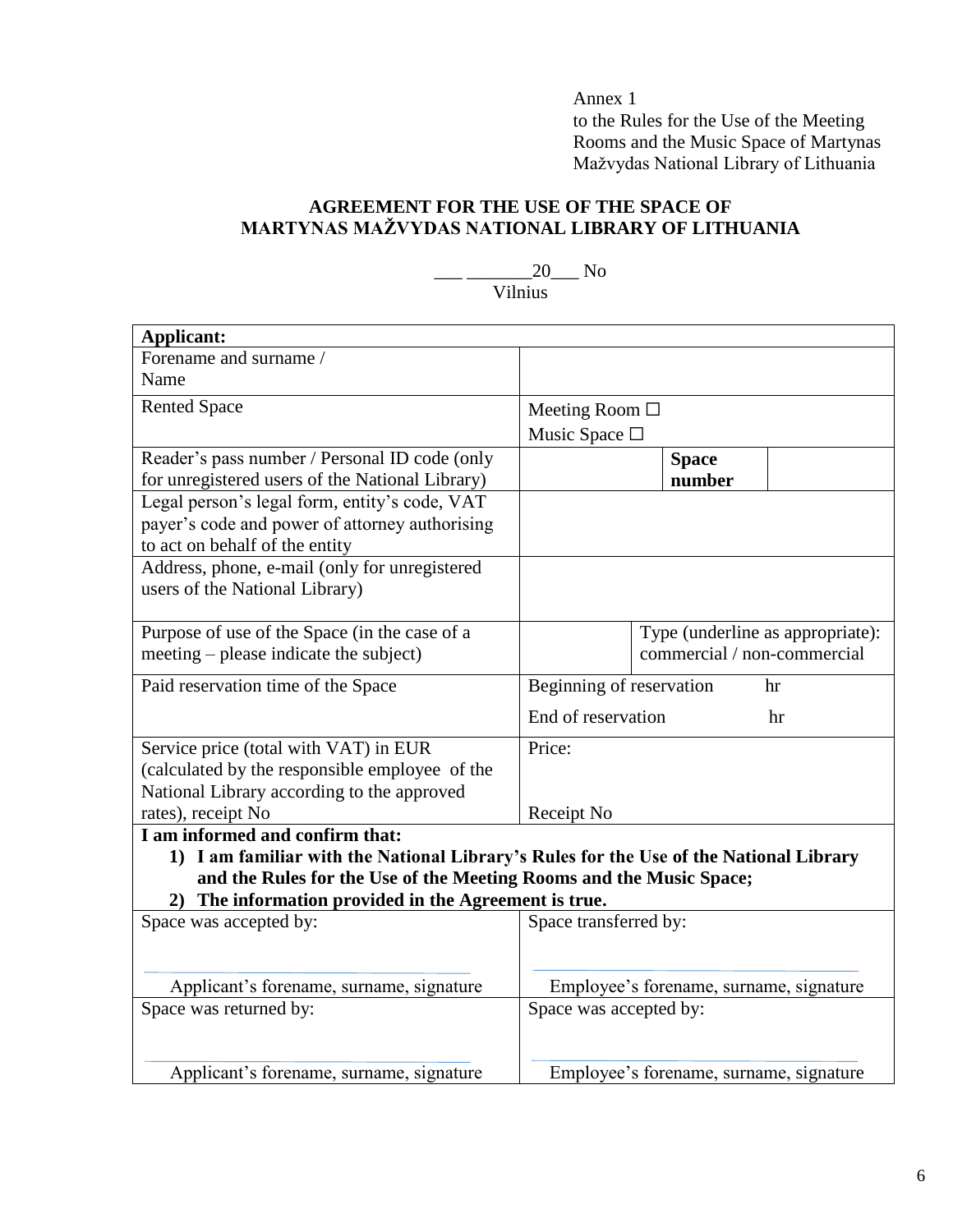Annex 1

to the Rules for the Use of the Meeting Rooms and the Music Space of Martynas Mažvydas National Library of Lithuania

### **AGREEMENT FOR THE USE OF THE SPACE OF MARTYNAS MAŽVYDAS NATIONAL LIBRARY OF LITHUANIA**

 $_{20}$  No

Vilnius

| Applicant:                                                                             |                                         |
|----------------------------------------------------------------------------------------|-----------------------------------------|
| Forename and surname /                                                                 |                                         |
| Name                                                                                   |                                         |
| <b>Rented Space</b>                                                                    | Meeting Room $\Box$                     |
|                                                                                        | Music Space □                           |
| Reader's pass number / Personal ID code (only                                          | <b>Space</b>                            |
| for unregistered users of the National Library)                                        | number                                  |
| Legal person's legal form, entity's code, VAT                                          |                                         |
| payer's code and power of attorney authorising                                         |                                         |
| to act on behalf of the entity                                                         |                                         |
| Address, phone, e-mail (only for unregistered                                          |                                         |
| users of the National Library)                                                         |                                         |
|                                                                                        |                                         |
| Purpose of use of the Space (in the case of a                                          | Type (underline as appropriate):        |
| meeting – please indicate the subject)                                                 | commercial / non-commercial             |
| Paid reservation time of the Space                                                     | Beginning of reservation<br>hr          |
|                                                                                        | End of reservation<br>hr                |
| Service price (total with VAT) in EUR                                                  | Price:                                  |
| (calculated by the responsible employee of the                                         |                                         |
| National Library according to the approved                                             |                                         |
| rates), receipt No                                                                     | Receipt No                              |
| I am informed and confirm that:                                                        |                                         |
| 1) I am familiar with the National Library's Rules for the Use of the National Library |                                         |
| and the Rules for the Use of the Meeting Rooms and the Music Space;                    |                                         |
| 2) The information provided in the Agreement is true.                                  |                                         |
| Space was accepted by:                                                                 | Space transferred by:                   |
|                                                                                        |                                         |
|                                                                                        |                                         |
| Applicant's forename, surname, signature                                               | Employee's forename, surname, signature |
| Space was returned by:                                                                 | Space was accepted by:                  |
|                                                                                        |                                         |
|                                                                                        |                                         |
| Applicant's forename, surname, signature                                               | Employee's forename, surname, signature |